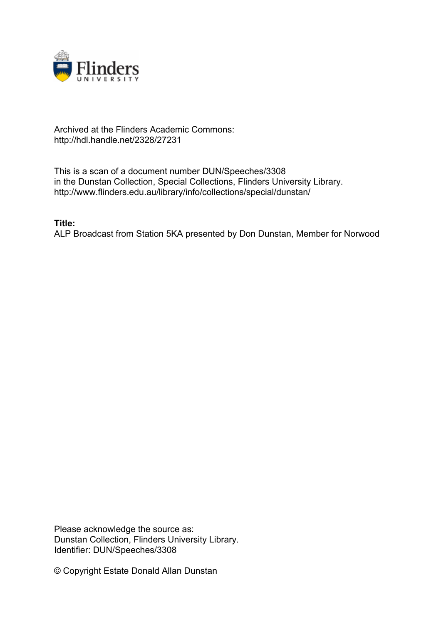

## Archived at the Flinders Academic Commons: http://hdl.handle.net/2328/27231

This is a scan of a document number DUN/Speeches/3308 in the Dunstan Collection, Special Collections, Flinders University Library. http://www.flinders.edu.au/library/info/collections/special/dunstan/

**Title:**

ALP Broadcast from Station 5KA presented by Don Dunstan, Member for Norwood

Please acknowledge the source as: Dunstan Collection, Flinders University Library. Identifier: DUN/Speeches/3308

© Copyright Estate Donald Allan Dunstan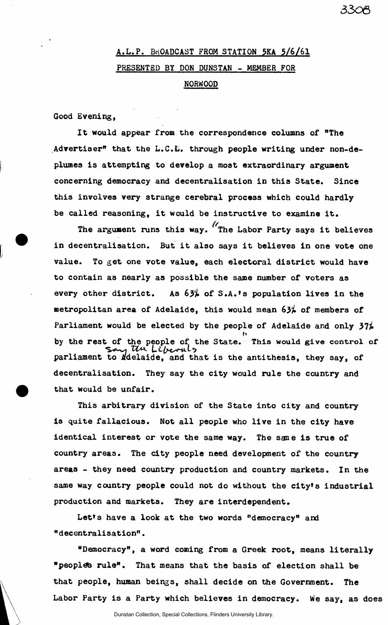## **A.L.P. BROADCAST FROM STATION 5KA 5/6/61 PRESENTED BY DON DUNSTAN - MEMBER FOR NORWOOD**

**Good Evening,** 

**It would appear from the correspondence columns of "The Advertiser" that the L.C.L. through people writing under non-deplumes is attempting to develop a most extraordinary argument concerning democracy and decentralisation in this State. Since this involves very strange cerebral process which could hardly be called reasoning, it would be instructive to examine it.** 

**The argument runs this way. ^The Labor Party says it believes in decentralisation. But it also says it believes in one vote one value. To get one vote value, each electoral district would have to contain as nearly as possible the same number of voters as**  every other district. As  $63\frac{2}{100}$  of S.A.'s population lives in the **metropolitan area of Adelaide, this would mean 63% of members of**  Parliament would be elected by the people of Adelaide and only 37% *h*  **by the rest of the people of the State. This would give control of "vo-^i** *TCk LLfrumiL\**  parliament to *k*delaide, and that is the antithesis, they say, of **decentralisation. They say the city would rule the country and that would be unfair.** 

**This arbitrary division of the State into city and country is quite fallacious. Not all people who live in the city have identical interest or vote the same way. The sane is true of country areas. The city people need development of the country areas - they need country production and country markets. In the same way country people could not do without the city's industrial production and markets. They are interdependent.** 

**Let's have a look at the two words "democracy" and "decentralisation".** 

**"Democracy", a word coming from a Greek root, means literally "** peoples rule". That means that the basis of election shall be **that people, human beings, shall decide on the Government. The Labor Party is a Party which believes in democracy. We say, as does**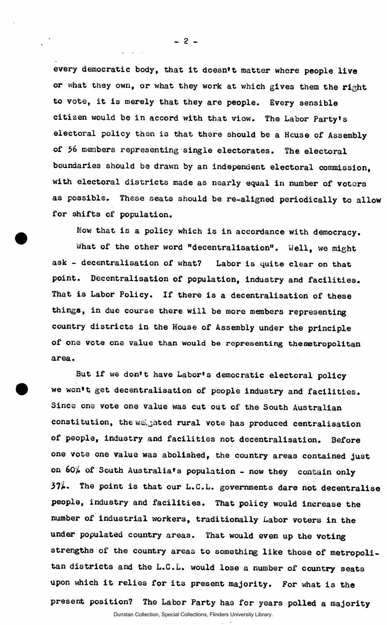**every democratic body, that It doesn't matter where people live or what they own, or what they work at which gives them the right to vote, it is merely that they are people. Every sensible citizen would be in accord with that viow. The Labor Party's electoral policy then is that there should be a House of Assembly of members representing single electorates. The electoral boundaries should be drawn by an independent electoral commission, with electoral districts made as nearly equal in number of voters as possible. These seats should be re-aligned periodically to allow for shifts of population.** 

**Now that is a policy which is in accordance with democracy. What of the other word "decentralisation". Well, we might ask - decentralisation of what? Labor is quite clear on that point. Decentralisation of population, industry and facilities. That is Labor Policy. If there is a decentralisation of these things, in due course there will be more members representing country districts in the House of Assembly under the principle of one Vote one value than would be representing the metropolitan area.** 

*But* **if we don't have Labor's democratic electoral policy we won't, get decentralisation of people industry and facilities. Since one vote one value was cut out of the South Australian**  constitution, the weighted rural vote has produced centralisation **of people, industry and facilities not decentralisation. Before one vote one value was abolished, the country areas contained just**  on  $60\%$  of South Australia's population - now they contain only **The point is that our L.C.L. governments dare not decentralise people, industry and facilities. That policy would increase the number of industrial workers, traditionally Labor voters in the under populated country areas. That would even up the voting strengths of the country areas to something like those of metropolitan districts and the L.C.L. would lose a number of country seats upon which it relies for its present majority. For what is the present position? The Labor Party has for years polled a majority** 

 $-2-$ 

Dunstan Collection, Special Collections, Flinders University Library.